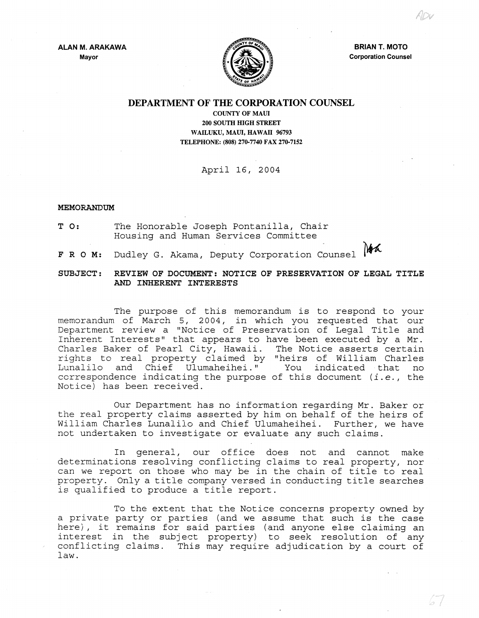**ALAN M. ARAKAWA Mayor** 



**BRIAN T. MOTO Corporation Counsel** 

## **DEPARTMENT OF THE CORPORATION COUNSEL**

**COUNTY OF MAUl 200 SOUTH HIGH STREET WAILUKU, MAUl, HAWAII 96793 TELEPHONE: (808) 270·7740 FAX 270·7152** 

## April 16, 2004

## **MEMORANDUM**

- **T 0:** The Honorable Joseph Pontanilla, Chair Housing and Human Services Committee
- Noa
- **FRO M:** Dudley G. Akama, Deputy Corporation Counsel

## **SUBJECT: REVIEW OF DOCUMENT: NOTICE OF PRESERVATION OF LEGAL TITLE AND INHEREWr INTERESTS**

The purpose of this memorandum is to respond to your memorandum of March 5, 2004, in which you requested that our Department review a "Notice of Preservation of Legal Title and Inherent Interests" that appears to have been executed by a Mr. Charles Baker of Pearl City, Hawaii. The Notice asserts certain rights to real property claimed by "heirs of William Charles Lunalilo and Chief Ulumaheihei." ccrrespondence indicating the purpose of this document *(i.e.,* the Notice) has been received.

Our Department has no information regarding Mr. Baker or the real property claims asserted by him on behalf of the heirs of William Charles Lunalilo and Chief Ulumaheihei. Further, we have not undertaken to investigate or evaluate any such claims.

In general, our office does not and cannot make determinations resolving conflicting claims to real property, nor can we report on those who may be in the chain of title to real property. Only a title company versed in conducting title searches is qualified to produce a title report.

To the extent that the Notice concerns property owned by a private party or parties (and we assume that such is the case here), it remains for said parties (and anyone else claiming an interest in the subject property) to seek resolution of any conflicting claims. This may require adjudication by a court of law.